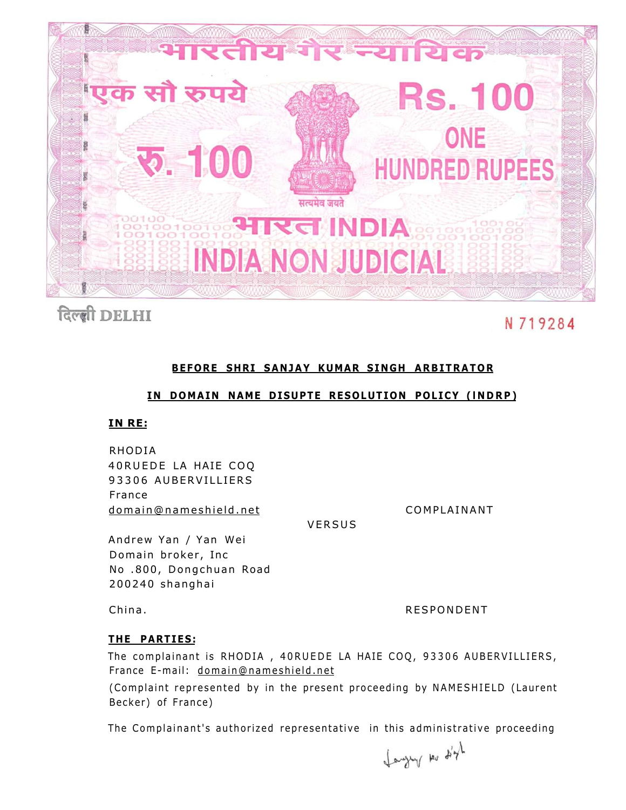

# दिल्ली DELHI

## N 719284

### **BEFORE SHRI SANJAY KUMAR SINGH ARBITRATOR**

#### **IN DOMAIN NAME DISUPTE RESOLUTION POLICY (INDRP)**

#### **IN RE:**

RHODIA 40RUEDE LA HAIE COQ 93306 AUBERVILLIERS France [domain@nameshield.net C](mailto:domain@nameshield.net)OMPLAINANT

**VERSUS** 

Andrew Yan / Yan Wei Domain broker, Inc. No .800, Dongchuan Road 200240 shanghai

China. **RESPONDENT** 

#### **T HE PARTIES:**

The complainant is RHODIA, 40RUEDE LA HAIE COQ, 93306 AUBERVILLIERS, France E-mail: domain@nameshield.net

(Complaint represented by in the present proceeding by NAMESHIELD (Laurent Becker) of France)

The Complainant's authorized representative in this administrative proceeding

Languy no digh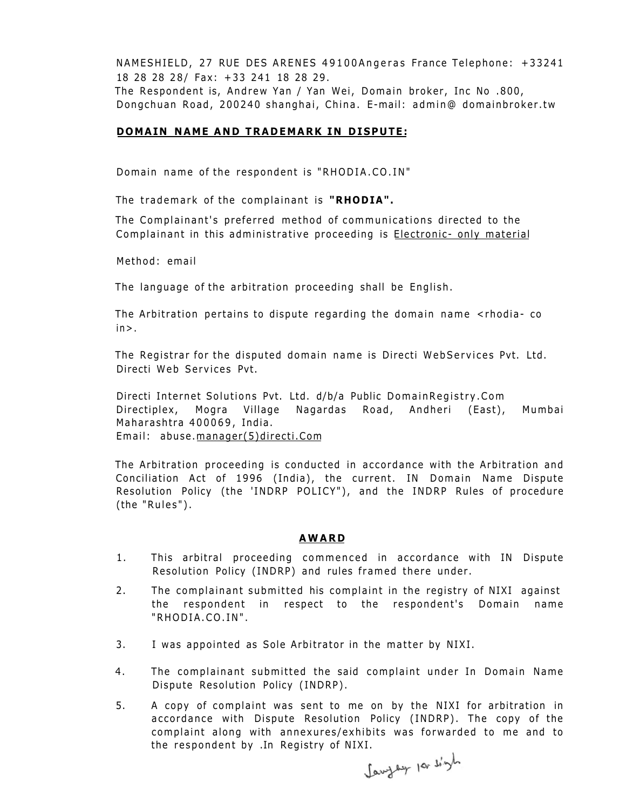NAMESHIELD, 27 RUE DES ARENES 49100Angeras France Telephone: +33241 18 28 28 28/ Fax: +33 241 18 28 29.

The Respondent is, Andrew Yan / Yan Wei, Domain broker, Inc No .800, Dongchuan Road, 200240 shanghai, China. E-mail: admin@ domainbroker.tw

#### **DOMAIN NAME AND TRADEMARK IN DISPUTE:**

Domain name of the respondent is "RHODIA.CO.IN "

The trademark of the complainant is **"RHODIA".** 

The Complainant's preferred method of communications directed to the Complainant in this administrative proceeding is Electronic- only material

Method: email

The language of the arbitration proceeding shall be English.

The Arbitration pertains to dispute regarding the domain name <rhodia- co  $in >$ .

The Registrar for the disputed domain name is Directi WebServices Pvt. Ltd. Directi Web Services Pvt.

Directi Internet Solutions Pvt. Ltd. d/b/a Public DomainRegistry.Com Directiplex, Mogra Village Nagardas Road, Andheri (East), Mumbai Maharashtra 400069 , India. Email: abuse.manager(5)directi.Com

The Arbitration proceeding is conducted in accordance with the Arbitration and Conciliation Act of 1996 (India), the current. IN Domain Name Dispute Resolution Policy (the 'INDRP POLICY"), and the INDRP Rules of procedure (the "Rules") .

#### **AWAR D**

- 1. This arbitral proceeding commenced in accordance with IN Dispute Resolution Policy (INDRP) and rules framed there under .
- 2. The complainant submitted his complaint in the registry of NIXI against the respondent in respect to the respondent's Domain name "RHODIA.CO.IN" .
- 3. I was appointed as Sole Arbitrator in the matter by NIXI.
- 4. The complainant submitted the said complaint under In Domain Name Dispute Resolution Policy (INDRP) .
- 5. A copy of complaint was sent to me on by the NIXI for arbitration in accordance with Dispute Resolution Policy (INDRP). The copy of the complaint along with annexures/exhibits was forwarded to me and to the respondent by .In Registry of NIXI.<br>Consider los when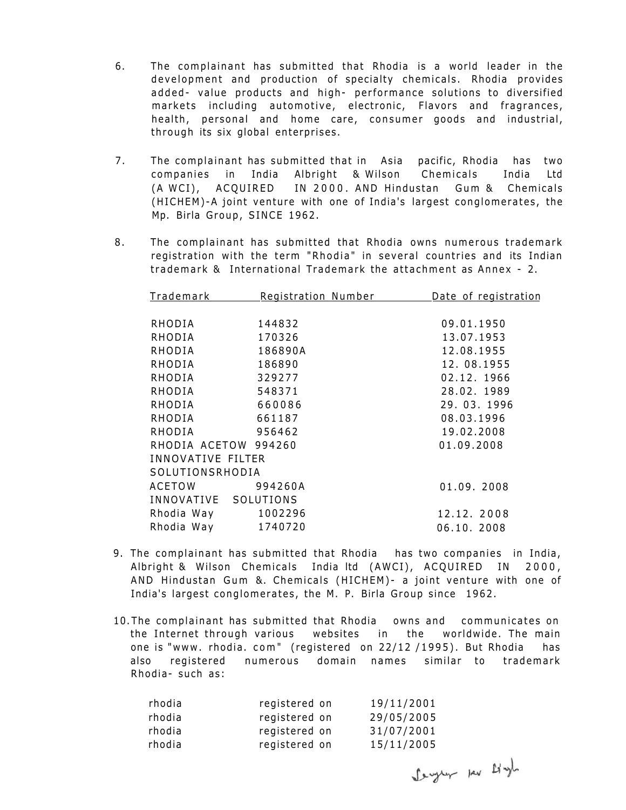- 6. The complainant has submitted that Rhodia is a world leader in the development and production of specialty chemicals. Rhodia provides added- value products and high- performance solutions to diversified markets including automotive, electronic, Flavors and fragrances, health, personal and home care, consumer goods and industrial, through its six global enterprises.
- 7. The complainant has submitted that in Asia pacific, Rhodia has two companies in India Albright & Wilson Chemicals India Ltd (A WCI), ACQUIRED IN 2000. AND Hindustan Gum & Chemicals (HICHEM)-A joint venture with one of India's largest conglomerates, the Mp. Birla Group, SINCE 1962.
- 8. The complainant has submitted that Rhodia owns numerous trademark registration with the term "Rhodia" in several countries and its Indian trademark & International Trademark the attachment as Annex - 2.

| <b>Trademark</b>     | Registration Number | Date of registration |  |  |  |
|----------------------|---------------------|----------------------|--|--|--|
|                      |                     |                      |  |  |  |
| RHODIA               | 144832              | 09.01.1950           |  |  |  |
| RHODIA               | 170326              | 13.07.1953           |  |  |  |
| RHODIA               | 186890A             | 12.08.1955           |  |  |  |
| RHODIA               | 186890              | 12.08.1955           |  |  |  |
| RHODIA               | 329277              | 02.12.1966           |  |  |  |
| RHODIA               | 548371              | 28.02.1989           |  |  |  |
| RHODIA               | 660086              | 29.03.1996           |  |  |  |
| RHODIA               | 661187              | 08.03.1996           |  |  |  |
| RHODIA               | 956462              | 19.02.2008           |  |  |  |
| RHODIA ACETOW 994260 |                     | 01.09.2008           |  |  |  |
| INNOVATIVE FILTER    |                     |                      |  |  |  |
| SOLUTIONSRHODIA      |                     |                      |  |  |  |
| ACETOW               | 994260A             | 01.09.2008           |  |  |  |
| INNOVATIVE SOLUTIONS |                     |                      |  |  |  |
| Rhodia Way 1002296   |                     | 12.12.2008           |  |  |  |
| Rhodia Way 1740720   |                     | 06.10.2008           |  |  |  |

- 9. The complainant has submitted that Rhodia has two companies in India, Albright & Wilson Chemicals India ltd (AWCI), ACQUIRED IN 2000, AND Hindustan Gum &. Chemicals (HICHEM) - a joint venture with one of India's largest conglomerates, the M. P. Birla Group since 1962.
- 10. The complainant has submitted that Rhodia owns and communicates on the Internet through various websites in the worldwide. The main one is "www. rhodia. com" (registered on 22/12/1995). But Rhodia has also registered numerous domain names similar to trademark Rhodia- such as:

| rhodia | registered on | 19/11/2001 |
|--------|---------------|------------|
| rhodia | registered on | 29/05/2005 |
| rhodia | registered on | 31/07/2001 |
| rhodia | registered on | 15/11/2005 |

Serger per Lingh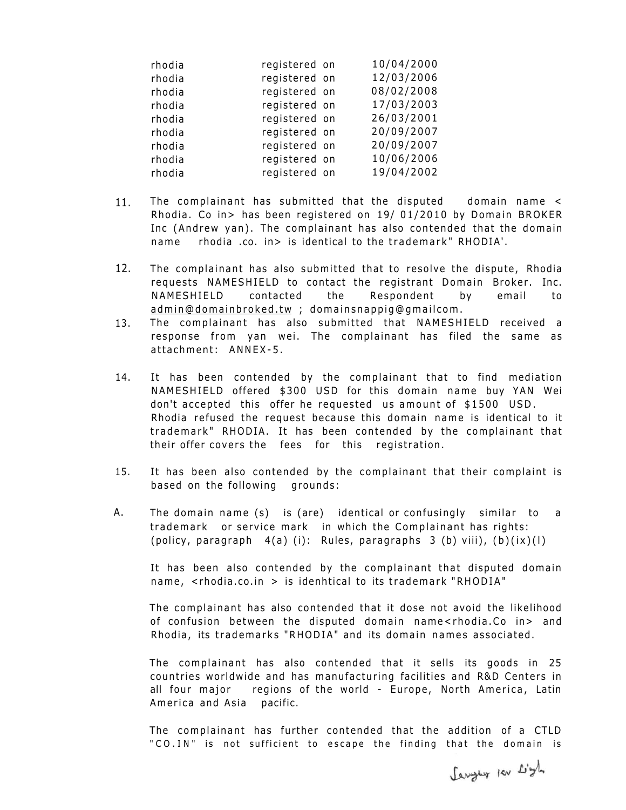| rhodia | registered on | 10/04/2000 |
|--------|---------------|------------|
| rhodia | registered on | 12/03/2006 |
| rhodia | registered on | 08/02/2008 |
| rhodia | registered on | 17/03/2003 |
| rhodia | registered on | 26/03/2001 |
| rhodia | registered on | 20/09/2007 |
| rhodia | registered on | 20/09/2007 |
| rhodia | registered on | 10/06/2006 |
| rhodia | registered on | 19/04/2002 |

- 11. The complainant has submitted that the disputed domain name < Rhodia. Co in> has been registered on 19/ 01/2010 by Domain BROKER Inc (Andrew yan). The complainant has also contended that the domain name rhodia .co. in> is identical to the trademark" RHODIA'.
- 12. The complainant has also submitted that to resolve the dispute, Rhodia requests NAMESHIELD to contact the registrant Domain Broker. Inc. NAMESHIELD contacted the Respondent by email to [admin@domainbroked.t](mailto:admin@domainbroked.tw)w ; domainsnappig@gmailcom.
- 13. The complainant has also submitted that NAMESHIELD received a response from yan wei. The complainant has filed the same as attachment: ANNEX-5.
- 14. It has been contended by the complainant that to find mediation NAMESHIELD offered \$300 USD for this domain name buy YAN Wei don't accepted this offer he requested us amount of \$1500 USD. Rhodia refused the request because this domain name is identical to it trademark" RHODIA. It has been contended by the complainant that their offer covers the fees for this registration.
- 15. It has been also contended by the complainant that their complaint is based on the following grounds:
- A. The domain name (s) is (are) identical or confusingly similar to a trademark or service mark in which the Complainant has rights: (policy, paragraph  $4(a)$  (i): Rules, paragraphs 3 (b) viii),  $(b)(ix)(1)$

It has been also contended by the complainant that disputed domain name,  $\leq$ rhodia.co.in > is idenhtical to its trademark "RHODIA"

The complainant has also contended that it dose not avoid the likelihood of confusion between the disputed domain name<rhodia.Co in> and Rhodia, its trademarks "RHODIA" and its domain names associated.

The complainant has also contended that it sells its goods in 25 countries worldwide and has manufacturing facilities and R&D Centers in all four major regions of the world - Europe, North America, Latin America and Asia pacific.

The complainant has further contended that the addition of a CTLD "CO.IN" is not sufficient to escape the finding that the domain is

Lenguer por Light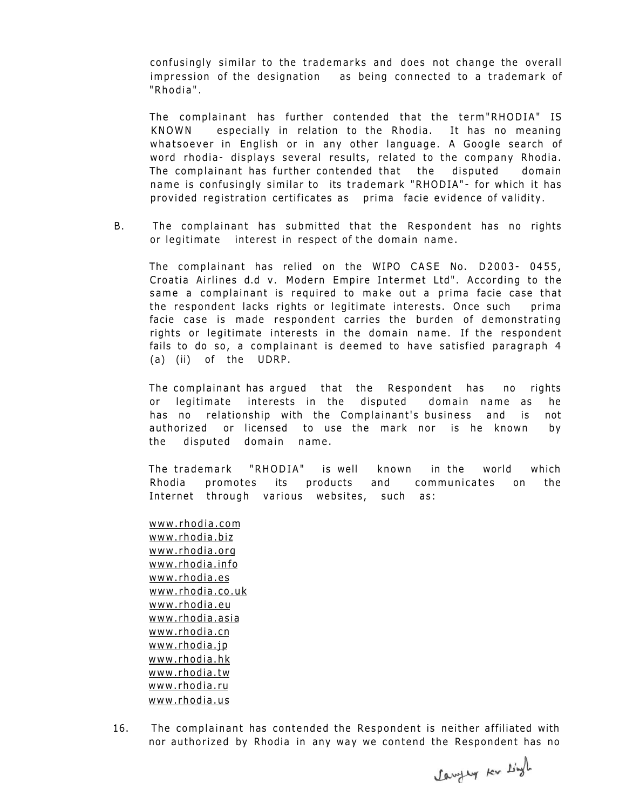confusingly similar to the trademarks and does not change the overall impression of the designation as being connected to a trademark of "Rhodia" .

The complainant has further contended that the term"RHODIA" IS KNOWN especially in relation to the Rhodia. It has no meaning whatsoever in English or in any other language. A Google search of word rhodia- displays several results, related to the company Rhodia. The complainant has further contended that the disputed domain name is confusingly similar to its trademark "RHODIA"- for which it has provided registration certificates as prima facie evidence of validity.

B. The complainant has submitted that the Respondent has no rights or legitimate interest in respect of the domain name .

The complainant has relied on the WIPO CASE No. D2003- 0455, Croatia Airlines d.d v. Modern Empire Intermet Ltd" . According to the same a complainant is required to make out a prima facie case that the respondent lacks rights or legitimate interests. Once such prima facie case is made respondent carries the burden of demonstrating rights or legitimate interests in the domain name. If the respondent fails to do so, a complainant is deemed to have satisfied paragraph 4 (a) (ii) of the UDRP.

The complainant has argued that the Respondent has no rights or legitimate interests in the disputed domain name as he has no relationship with the Complainant's business and is not authorized or licensed to use the mark nor is he known by the disputed domain name.

The trademark "RHODIA" is well known in the world which Rhodia promotes its products and communicates on the Internet through various websites, such as:

[www.rhodia.com](http://www.rhodia.com)  [www.rhodia.biz](http://www.rhodia.biz)  [www.rhodia.org](http://www.rhodia.org)  [www.rhodia.info](http://www.rhodia.info)  [www.rhodia.es](http://www.rhodia.es)  [www.rhodia.co.uk](http://www.rhodia.co.uk)  [www.rhodia.eu](http://www.rhodia.eu)  [www.rhodia.asia](http://www.rhodia.asia)  [www.rhodia.cn](http://www.rhodia.cn)  [www.rhodia.jp](http://www.rhodia.jp)  [www.rhodia.hk](http://www.rhodia.hk)  [www.rhodia.tw](http://www.rhodia.tw)  [www.rhodia.ru](http://www.rhodia.ru)  [www.rhodia.us](http://www.rhodia.us) 

16. The complainant has contended the Respondent is neither affiliated with nor authorized by Rhodia in any way we contend the Respondent has no

Lawyer Kr Lingh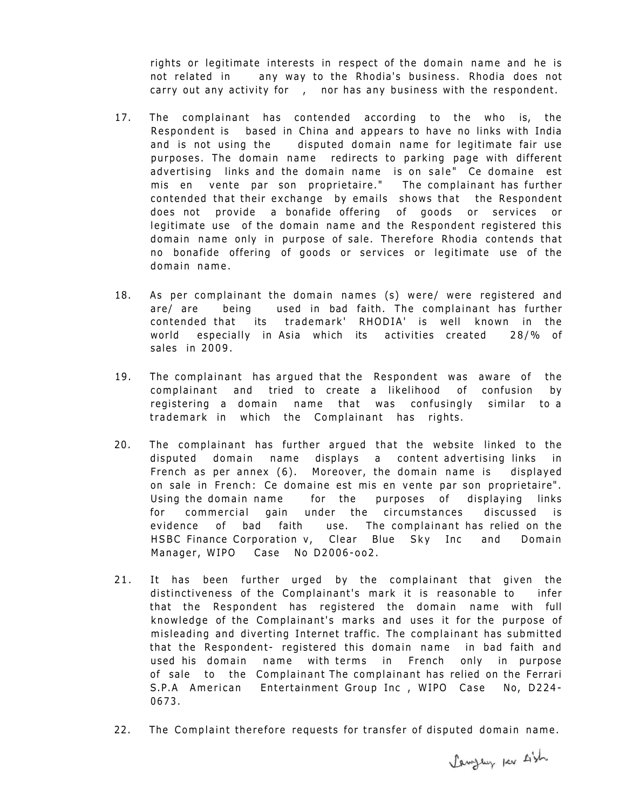rights or legitimate interests in respect of the domain name and he is not related in any way to the Rhodia's business. Rhodia does not carry out any activity for, nor has any business with the respondent.

- 17. The complainant has contended according to the who is, the Respondent is based in China and appears to have no links with India and is not using the disputed domain name for legitimate fair use purposes. The domain name redirects to parking page with different advertising links and the domain name is on sale" Ce domaine est mis en vente par son proprietaire." The complainant has further contended that their exchange by emails shows that the Respondent does not provide a bonafide offering of goods or services or legitimate use of the domain name and the Respondent registered this domain name only in purpose of sale. Therefore Rhodia contends that no bonafide offering of goods or services or legitimate use of the domain name.
- 18. As per complainant the domain names (s) were/ were registered and are/ are being used in bad faith. The complainant has further contended that its trademark' RHODIA' is well known in the world especially in Asia which its activities created 28/% of sales in 2009.
- 19. The complainant has argued that the Respondent was aware of the complainant and tried to create a likelihood of confusion by registering a domain name that was confusingly similar to a trademark in which the Complainant has rights.
- 20. The complainant has further argued that the website linked to the disputed domain name displays a content advertising links in French as per annex (6). Moreover, the domain name is displayed on sale in French: Ce domaine est mis en vente par son proprietaire". Using the domain name for the purposes of displaying links for commercial gain under the circumstances discussed is evidence of bad faith use. The complainant has relied on the HSBC Finance Corporation v, Clear Blue Sky Inc and Domain Manager, WIPO Case No D2006-oo2.
- 21. It has been further urged by the complainant that given the distinctiveness of the Complainant's mark it is reasonable to infer that the Respondent has registered the domain name with full knowledge of the Complainant's marks and uses it for the purpose of misleading and diverting Internet traffic. The complainant has submitted that the Respondent- registered this domain name in bad faith and used his domain name with terms in French only in purpose of sale to the Complainant The complainant has relied on the Ferrari S.P.A American Entertainment Group Inc , WIPO Case No, D224- 0673.
- 22. The Complaint therefore requests for transfer of disputed domain name.

Lawyer per sish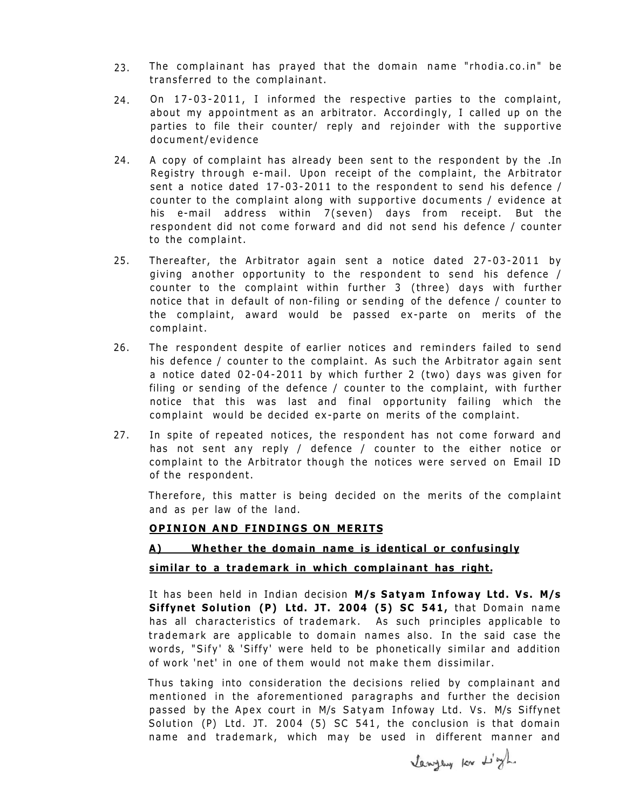- 2 3. The complainant has prayed that the domain name "rhodia.co.in" be transferred to the complainant.
- 24. On 17-03-2011, I informed the respective parties to the complaint, about my appointment as an arbitrator. Accordingly, I called up on the parties to file their counter/ reply and rejoinder with the supportive document/evidence
- 24. A copy of complaint has already been sent to the respondent by the .In Registry through e-mail. Upon receipt of the complaint, the Arbitrator sent a notice dated 17-03-2011 to the respondent to send his defence / counter to the complaint along with supportive documents  $/$  evidence at his e-mail address within 7(seven) days from receipt. But the respondent did not come forward and did not send his defence / counter to the complaint.
- 25. Thereafter, the Arbitrator again sent a notice dated  $27-03-2011$  by giving another opportunity to the respondent to send his defence / counter to the complaint within further 3 (three) days with further notice that in default of non-filing or sending of the defence / counter to the complaint, award would be passed ex-parte on merits of the complaint.
- 26. The respondent despite of earlier notices and reminders failed to send his defence / counter to the complaint. As such the Arbitrator again sent a notice dated 02-04-2011 by which further 2 (two) days was given for filing or sending of the defence / counter to the complaint, with further notice that this was last and final opportunity failing which the complaint would be decided ex-parte on merits of the complaint.
- 27. In spite of repeated notices, the respondent has not come forward and has not sent any reply / defence / counter to the either notice or complaint to the Arbitrator though the notices were served on Email ID of the respondent.

Therefore, this matter is being decided on the merits of the complaint and as per law of the land.

#### **OPINIO N AN D FINDING S ON MERITS**

## **A) Whether the domain name is identical or confusingly similar to a trademark in which complainant has right.**

It has been held in Indian decision **M/s Satyam Infoway Ltd. Vs. M/s Siffynet Solution (P) Ltd. JT. 2004 (5) SC 541,** that Domain name has all characteristics of trademark. As such principles applicable to trademark are applicable to domain names also. In the said case the words, "Sify' & 'Siffy' were held to be phonetically similar and addition of work 'net' in one of them would not make them dissimilar .

Thus taking into consideration the decisions relied by complainant and mentioned in the aforementioned paragraphs and further the decision passed by the Apex court in M/s Satyam Infoway Ltd. Vs. M/s Siffynet Solution (P) Ltd. JT. 2004 (5) SC 541, the conclusion is that domain name and trademark, which may be used in different manner and

lawyers for L'yh.